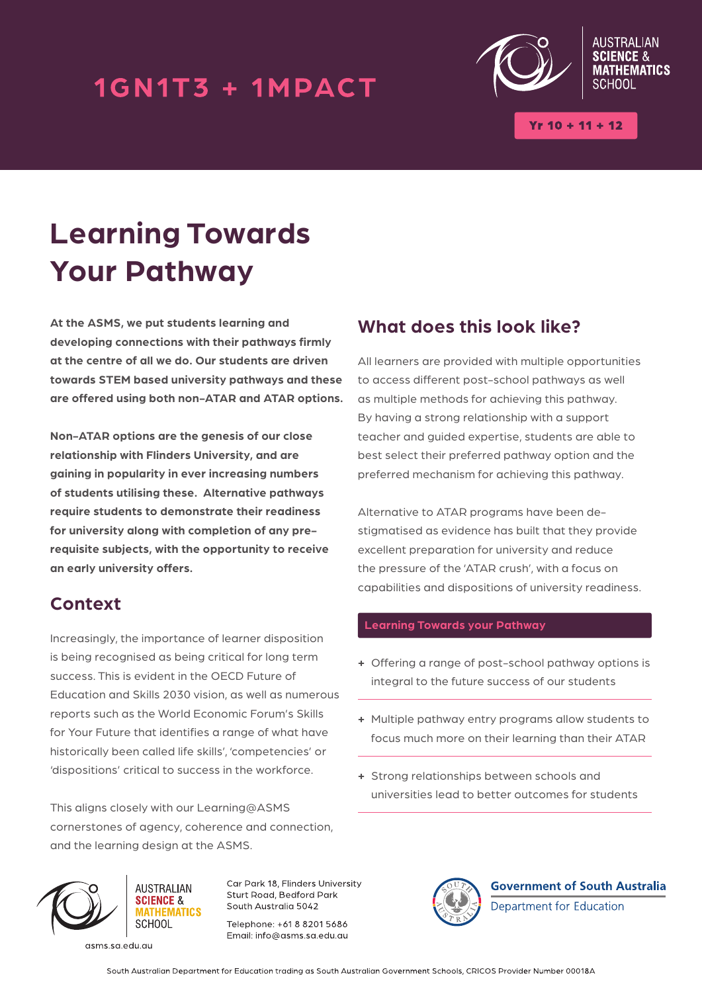### 1GN1T3 + 1MPACT



 $(r 10 + 11 + 12)$ 

**EMATICS** 

# **Learning Towards Your Pathway**

**At the ASMS, we put students learning and developing connections with their pathways firmly at the centre of all we do. Our students are driven towards STEM based university pathways and these are offered using both non-ATAR and ATAR options.** 

**Non-ATAR options are the genesis of our close relationship with Flinders University, and are gaining in popularity in ever increasing numbers of students utilising these. Alternative pathways require students to demonstrate their readiness for university along with completion of any prerequisite subjects, with the opportunity to receive an early university offers.**

### **Context**

Increasingly, the importance of learner disposition is being recognised as being critical for long term success. This is evident in the OECD Future of Education and Skills 2030 vision, as well as numerous reports such as the World Economic Forum's Skills for Your Future that identifies a range of what have historically been called life skills', 'competencies' or 'dispositions' critical to success in the workforce.

This aligns closely with our Learning@ASMS cornerstones of agency, coherence and connection, and the learning design at the ASMS.

### **What does this look like?**

All learners are provided with multiple opportunities to access different post-school pathways as well as multiple methods for achieving this pathway. By having a strong relationship with a support teacher and guided expertise, students are able to best select their preferred pathway option and the preferred mechanism for achieving this pathway.

Alternative to ATAR programs have been destigmatised as evidence has built that they provide excellent preparation for university and reduce the pressure of the 'ATAR crush', with a focus on capabilities and dispositions of university readiness.

#### **Learning Towards your Pathway**

- **+** Offering a range of post-school pathway options is integral to the future success of our students
- **+** Multiple pathway entry programs allow students to focus much more on their learning than their ATAR
- **+** Strong relationships between schools and universities lead to better outcomes for students



**AUSTRALIAN SCIENCE &** SCHOOL

asms.sa.edu.au

Car Park 18, Flinders University Sturt Road, Bedford Park South Australia 5042

Telephone: +61 8 8201 5686 Email: info@asms.sa.edu.au



**Government of South Australia** Department for Education